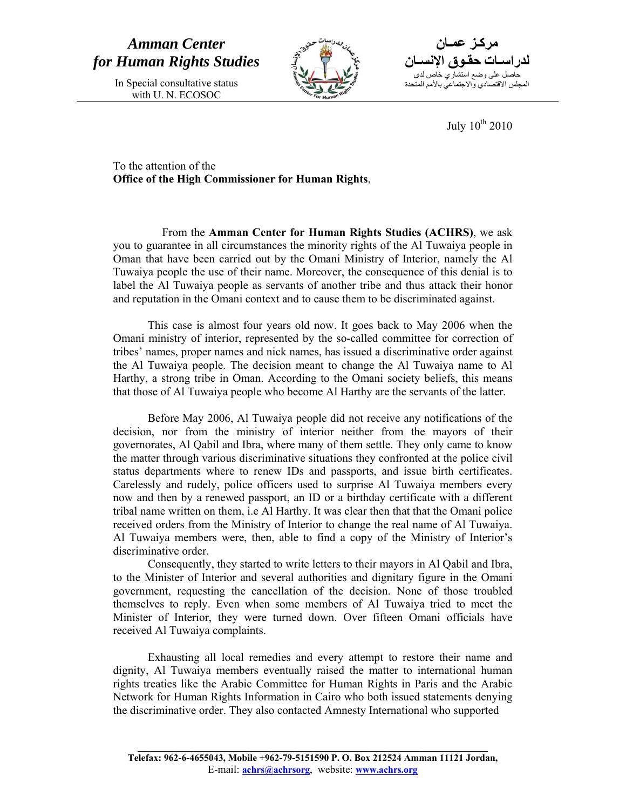*Amman Center for Human Rights Studies* 

> In Special consultative status with U. N. ECOSOC



**مرآـز عمـان**  حاصل على وضع استشاري خاص لدى **لدراسـات حقـوق الإنسـان** المجلس الاقتصادي والاجتماعي بالأمم المتحدة

July  $10^{th}$  2010

To the attention of the **Office of the High Commissioner for Human Rights**,

 From the **Amman Center for Human Rights Studies (ACHRS)**, we ask you to guarantee in all circumstances the minority rights of the Al Tuwaiya people in Oman that have been carried out by the Omani Ministry of Interior, namely the Al Tuwaiya people the use of their name. Moreover, the consequence of this denial is to label the Al Tuwaiya people as servants of another tribe and thus attack their honor and reputation in the Omani context and to cause them to be discriminated against.

This case is almost four years old now. It goes back to May 2006 when the Omani ministry of interior, represented by the so-called committee for correction of tribes' names, proper names and nick names, has issued a discriminative order against the Al Tuwaiya people. The decision meant to change the Al Tuwaiya name to Al Harthy, a strong tribe in Oman. According to the Omani society beliefs, this means that those of Al Tuwaiya people who become Al Harthy are the servants of the latter.

Before May 2006, Al Tuwaiya people did not receive any notifications of the decision, nor from the ministry of interior neither from the mayors of their governorates, Al Qabil and Ibra, where many of them settle. They only came to know the matter through various discriminative situations they confronted at the police civil status departments where to renew IDs and passports, and issue birth certificates. Carelessly and rudely, police officers used to surprise Al Tuwaiya members every now and then by a renewed passport, an ID or a birthday certificate with a different tribal name written on them, i.e Al Harthy. It was clear then that that the Omani police received orders from the Ministry of Interior to change the real name of Al Tuwaiya. Al Tuwaiya members were, then, able to find a copy of the Ministry of Interior's discriminative order.

Consequently, they started to write letters to their mayors in Al Qabil and Ibra, to the Minister of Interior and several authorities and dignitary figure in the Omani government, requesting the cancellation of the decision. None of those troubled themselves to reply. Even when some members of Al Tuwaiya tried to meet the Minister of Interior, they were turned down. Over fifteen Omani officials have received Al Tuwaiya complaints.

 Exhausting all local remedies and every attempt to restore their name and dignity, Al Tuwaiya members eventually raised the matter to international human rights treaties like the Arabic Committee for Human Rights in Paris and the Arabic Network for Human Rights Information in Cairo who both issued statements denying the discriminative order. They also contacted Amnesty International who supported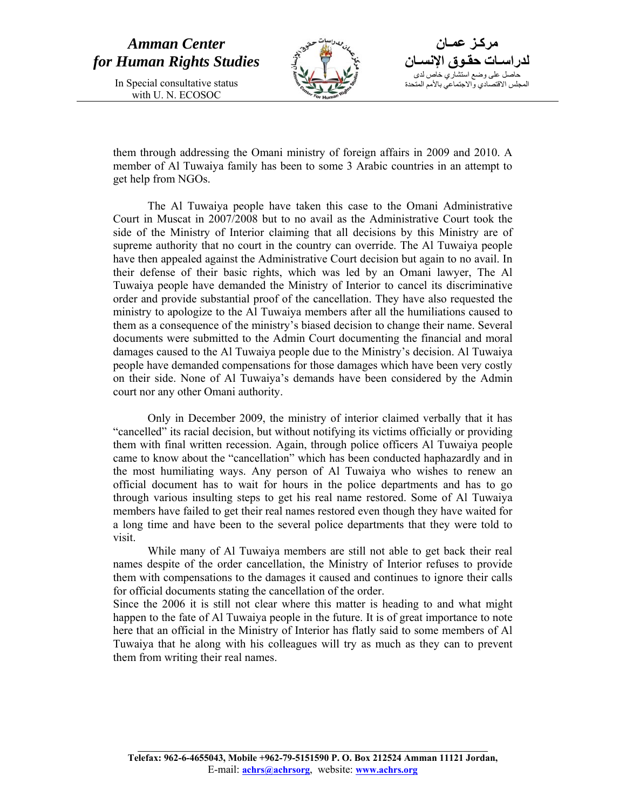## *Amman Center for Human Rights Studies*

In Special consultative status with U. N. ECOSOC



**مرآـز عمـان**  حاصل على وضع استشاري خاص لدى **لدراسـات حقـوق الإنسـان** المجلس الاقتصادي والاجتماعي بالأمم المتحدة

them through addressing the Omani ministry of foreign affairs in 2009 and 2010. A member of Al Tuwaiya family has been to some 3 Arabic countries in an attempt to get help from NGOs.

The Al Tuwaiya people have taken this case to the Omani Administrative Court in Muscat in 2007/2008 but to no avail as the Administrative Court took the side of the Ministry of Interior claiming that all decisions by this Ministry are of supreme authority that no court in the country can override. The Al Tuwaiya people have then appealed against the Administrative Court decision but again to no avail. In their defense of their basic rights, which was led by an Omani lawyer, The Al Tuwaiya people have demanded the Ministry of Interior to cancel its discriminative order and provide substantial proof of the cancellation. They have also requested the ministry to apologize to the Al Tuwaiya members after all the humiliations caused to them as a consequence of the ministry's biased decision to change their name. Several documents were submitted to the Admin Court documenting the financial and moral damages caused to the Al Tuwaiya people due to the Ministry's decision. Al Tuwaiya people have demanded compensations for those damages which have been very costly on their side. None of Al Tuwaiya's demands have been considered by the Admin court nor any other Omani authority.

Only in December 2009, the ministry of interior claimed verbally that it has "cancelled" its racial decision, but without notifying its victims officially or providing them with final written recession. Again, through police officers Al Tuwaiya people came to know about the "cancellation" which has been conducted haphazardly and in the most humiliating ways. Any person of Al Tuwaiya who wishes to renew an official document has to wait for hours in the police departments and has to go through various insulting steps to get his real name restored. Some of Al Tuwaiya members have failed to get their real names restored even though they have waited for a long time and have been to the several police departments that they were told to visit.

While many of Al Tuwaiya members are still not able to get back their real names despite of the order cancellation, the Ministry of Interior refuses to provide them with compensations to the damages it caused and continues to ignore their calls for official documents stating the cancellation of the order.

Since the 2006 it is still not clear where this matter is heading to and what might happen to the fate of Al Tuwaiya people in the future. It is of great importance to note here that an official in the Ministry of Interior has flatly said to some members of Al Tuwaiya that he along with his colleagues will try as much as they can to prevent them from writing their real names.